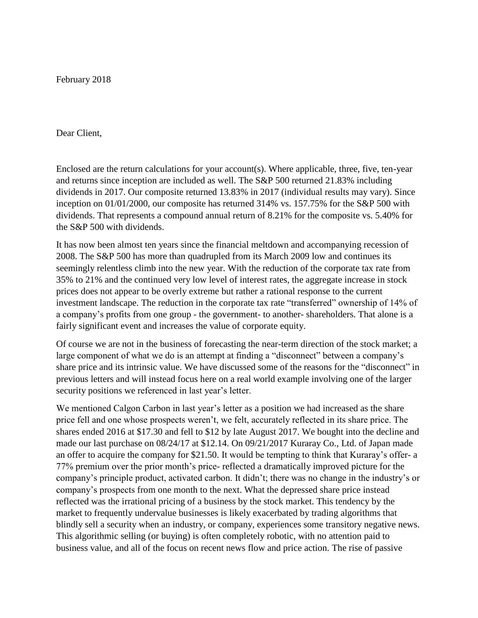February 2018

## Dear Client,

Enclosed are the return calculations for your account(s). Where applicable, three, five, ten-year and returns since inception are included as well. The S&P 500 returned 21.83% including dividends in 2017. Our composite returned 13.83% in 2017 (individual results may vary). Since inception on 01/01/2000, our composite has returned 314% vs. 157.75% for the S&P 500 with dividends. That represents a compound annual return of 8.21% for the composite vs. 5.40% for the S&P 500 with dividends.

It has now been almost ten years since the financial meltdown and accompanying recession of 2008. The S&P 500 has more than quadrupled from its March 2009 low and continues its seemingly relentless climb into the new year. With the reduction of the corporate tax rate from 35% to 21% and the continued very low level of interest rates, the aggregate increase in stock prices does not appear to be overly extreme but rather a rational response to the current investment landscape. The reduction in the corporate tax rate "transferred" ownership of 14% of a company's profits from one group - the government- to another- shareholders. That alone is a fairly significant event and increases the value of corporate equity.

Of course we are not in the business of forecasting the near-term direction of the stock market; a large component of what we do is an attempt at finding a "disconnect" between a company's share price and its intrinsic value. We have discussed some of the reasons for the "disconnect" in previous letters and will instead focus here on a real world example involving one of the larger security positions we referenced in last year's letter.

We mentioned Calgon Carbon in last year's letter as a position we had increased as the share price fell and one whose prospects weren't, we felt, accurately reflected in its share price. The shares ended 2016 at \$17.30 and fell to \$12 by late August 2017. We bought into the decline and made our last purchase on 08/24/17 at \$12.14. On 09/21/2017 Kuraray Co., Ltd. of Japan made an offer to acquire the company for \$21.50. It would be tempting to think that Kuraray's offer- a 77% premium over the prior month's price- reflected a dramatically improved picture for the company's principle product, activated carbon. It didn't; there was no change in the industry's or company's prospects from one month to the next. What the depressed share price instead reflected was the irrational pricing of a business by the stock market. This tendency by the market to frequently undervalue businesses is likely exacerbated by trading algorithms that blindly sell a security when an industry, or company, experiences some transitory negative news. This algorithmic selling (or buying) is often completely robotic, with no attention paid to business value, and all of the focus on recent news flow and price action. The rise of passive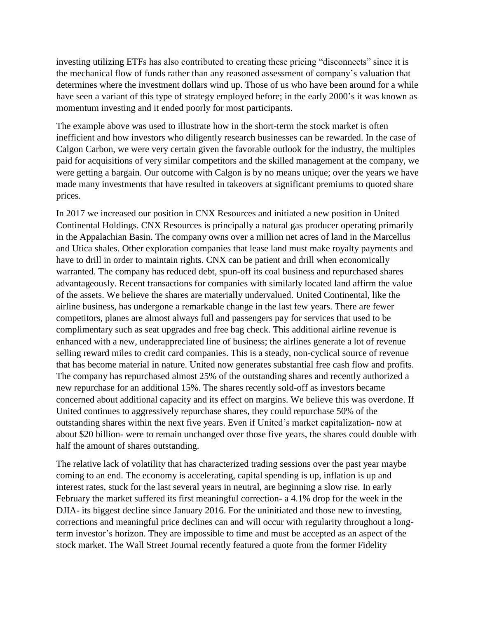investing utilizing ETFs has also contributed to creating these pricing "disconnects" since it is the mechanical flow of funds rather than any reasoned assessment of company's valuation that determines where the investment dollars wind up. Those of us who have been around for a while have seen a variant of this type of strategy employed before; in the early 2000's it was known as momentum investing and it ended poorly for most participants.

The example above was used to illustrate how in the short-term the stock market is often inefficient and how investors who diligently research businesses can be rewarded. In the case of Calgon Carbon, we were very certain given the favorable outlook for the industry, the multiples paid for acquisitions of very similar competitors and the skilled management at the company, we were getting a bargain. Our outcome with Calgon is by no means unique; over the years we have made many investments that have resulted in takeovers at significant premiums to quoted share prices.

In 2017 we increased our position in CNX Resources and initiated a new position in United Continental Holdings. CNX Resources is principally a natural gas producer operating primarily in the Appalachian Basin. The company owns over a million net acres of land in the Marcellus and Utica shales. Other exploration companies that lease land must make royalty payments and have to drill in order to maintain rights. CNX can be patient and drill when economically warranted. The company has reduced debt, spun-off its coal business and repurchased shares advantageously. Recent transactions for companies with similarly located land affirm the value of the assets. We believe the shares are materially undervalued. United Continental, like the airline business, has undergone a remarkable change in the last few years. There are fewer competitors, planes are almost always full and passengers pay for services that used to be complimentary such as seat upgrades and free bag check. This additional airline revenue is enhanced with a new, underappreciated line of business; the airlines generate a lot of revenue selling reward miles to credit card companies. This is a steady, non-cyclical source of revenue that has become material in nature. United now generates substantial free cash flow and profits. The company has repurchased almost 25% of the outstanding shares and recently authorized a new repurchase for an additional 15%. The shares recently sold-off as investors became concerned about additional capacity and its effect on margins. We believe this was overdone. If United continues to aggressively repurchase shares, they could repurchase 50% of the outstanding shares within the next five years. Even if United's market capitalization- now at about \$20 billion- were to remain unchanged over those five years, the shares could double with half the amount of shares outstanding.

The relative lack of volatility that has characterized trading sessions over the past year maybe coming to an end. The economy is accelerating, capital spending is up, inflation is up and interest rates, stuck for the last several years in neutral, are beginning a slow rise. In early February the market suffered its first meaningful correction- a 4.1% drop for the week in the DJIA- its biggest decline since January 2016. For the uninitiated and those new to investing, corrections and meaningful price declines can and will occur with regularity throughout a longterm investor's horizon. They are impossible to time and must be accepted as an aspect of the stock market. The Wall Street Journal recently featured a quote from the former Fidelity